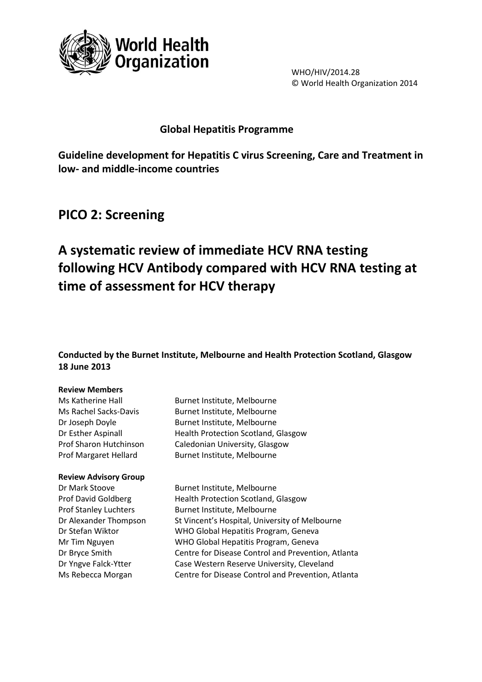

WHO/HIV/2014.28 © World Health Organization 2014

### **Global Hepatitis Programme**

**Guideline development for Hepatitis C virus Screening, Care and Treatment in low- and middle-income countries** 

# **PICO 2: Screening**

# **A systematic review of immediate HCV RNA testing following HCV Antibody compared with HCV RNA testing at time of assessment for HCV therapy**

**Conducted by the Burnet Institute, Melbourne and Health Protection Scotland, Glasgow 18 June 2013**

### **Review Members**

### **Review Advisory Group**

Ms Katherine Hall Burnet Institute, Melbourne Ms Rachel Sacks-Davis Burnet Institute, Melbourne Dr Joseph Doyle Burnet Institute, Melbourne Dr Esther Aspinall Health Protection Scotland, Glasgow Prof Sharon Hutchinson Caledonian University, Glasgow Prof Margaret Hellard Burnet Institute, Melbourne

Dr Mark Stoove Burnet Institute, Melbourne Prof David Goldberg Health Protection Scotland, Glasgow Prof Stanley Luchters Burnet Institute, Melbourne Dr Alexander Thompson St Vincent's Hospital, University of Melbourne Dr Stefan Wiktor WHO Global Hepatitis Program, Geneva Mr Tim Nguyen WHO Global Hepatitis Program, Geneva Dr Bryce Smith Centre for Disease Control and Prevention, Atlanta Dr Yngve Falck-Ytter Case Western Reserve University, Cleveland Ms Rebecca Morgan Centre for Disease Control and Prevention, Atlanta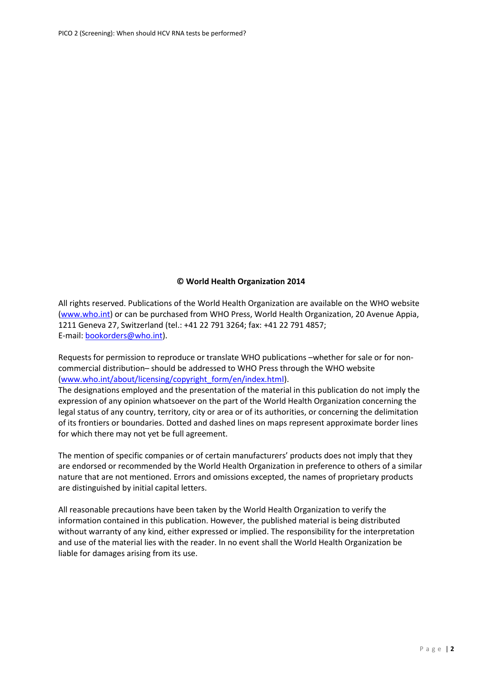### **© World Health Organization 2014**

All rights reserved. Publications of the World Health Organization are available on the WHO website [\(www.who.int\)](http://www.who.int/) or can be purchased from WHO Press, World Health Organization, 20 Avenue Appia, 1211 Geneva 27, Switzerland (tel.: +41 22 791 3264; fax: +41 22 791 4857; E-mail: [bookorders@who.int\)](mailto:bookorders@who.int).

Requests for permission to reproduce or translate WHO publications –whether for sale or for noncommercial distribution– should be addressed to WHO Press through the WHO website [\(www.who.int/about/licensing/copyright\\_form/en/index.html\)](http://www.who.int/about/licensing/copyright_form/en/index.html).

The designations employed and the presentation of the material in this publication do not imply the expression of any opinion whatsoever on the part of the World Health Organization concerning the legal status of any country, territory, city or area or of its authorities, or concerning the delimitation of its frontiers or boundaries. Dotted and dashed lines on maps represent approximate border lines for which there may not yet be full agreement.

The mention of specific companies or of certain manufacturers' products does not imply that they are endorsed or recommended by the World Health Organization in preference to others of a similar nature that are not mentioned. Errors and omissions excepted, the names of proprietary products are distinguished by initial capital letters.

All reasonable precautions have been taken by the World Health Organization to verify the information contained in this publication. However, the published material is being distributed without warranty of any kind, either expressed or implied. The responsibility for the interpretation and use of the material lies with the reader. In no event shall the World Health Organization be liable for damages arising from its use.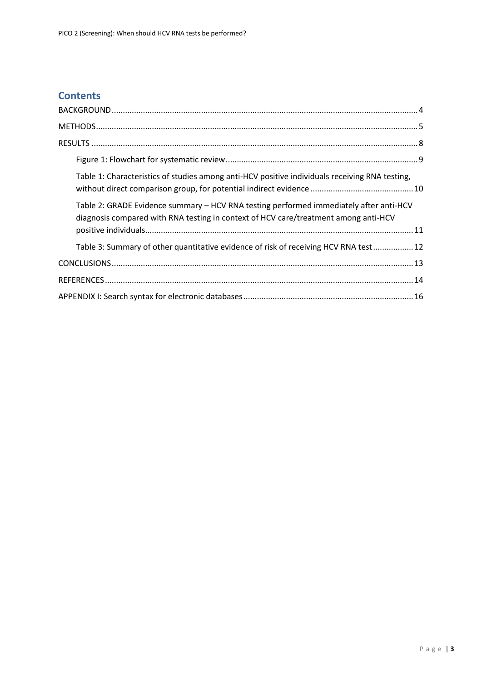# **Contents**

| Table 1: Characteristics of studies among anti-HCV positive individuals receiving RNA testing,                                                                                |
|-------------------------------------------------------------------------------------------------------------------------------------------------------------------------------|
| Table 2: GRADE Evidence summary - HCV RNA testing performed immediately after anti-HCV<br>diagnosis compared with RNA testing in context of HCV care/treatment among anti-HCV |
| Table 3: Summary of other quantitative evidence of risk of receiving HCV RNA test 12                                                                                          |
|                                                                                                                                                                               |
|                                                                                                                                                                               |
|                                                                                                                                                                               |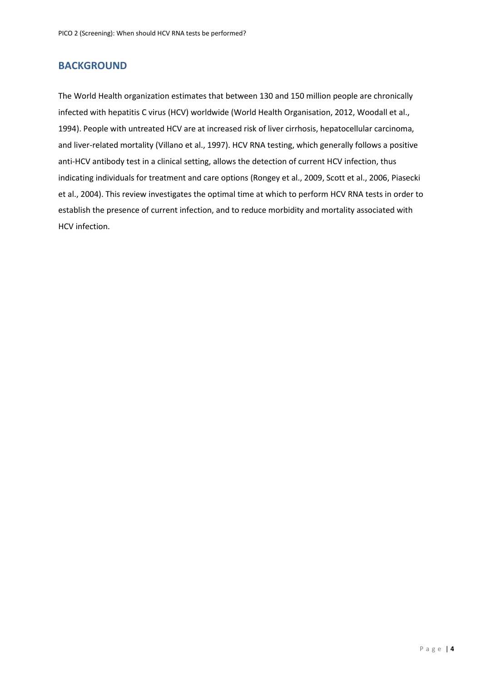### <span id="page-3-0"></span>**BACKGROUND**

The World Health organization estimates that between 130 and 150 million people are chronically infected with hepatitis C virus (HCV) worldwide [\(World Health Organisation, 2012,](#page-14-0) [Woodall et al.,](#page-14-1)  [1994\)](#page-14-1). People with untreated HCV are at increased risk of liver cirrhosis, hepatocellular carcinoma, and liver-related mortality [\(Villano et al., 1997\)](#page-14-2). HCV RNA testing, which generally follows a positive anti-HCV antibody test in a clinical setting, allows the detection of current HCV infection, thus indicating individuals for treatment and care options [\(Rongey et al., 2009,](#page-14-3) [Scott et al., 2006,](#page-14-4) [Piasecki](#page-13-1)  [et al., 2004\)](#page-13-1). This review investigates the optimal time at which to perform HCV RNA tests in order to establish the presence of current infection, and to reduce morbidity and mortality associated with HCV infection.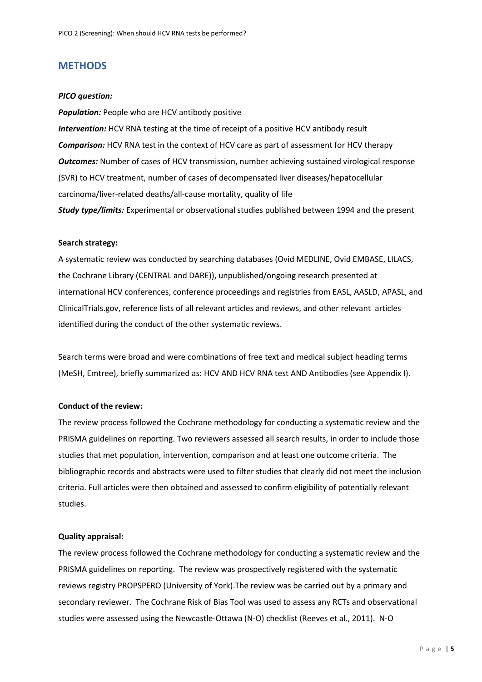### <span id="page-4-0"></span>**METHODS**

#### *PICO question:*

*Population:* People who are HCV antibody positive *Intervention:* HCV RNA testing at the time of receipt of a positive HCV antibody result *Comparison:* HCV RNA test in the context of HCV care as part of assessment for HCV therapy *Outcomes:* Number of cases of HCV transmission, number achieving sustained virological response (SVR) to HCV treatment, number of cases of decompensated liver diseases/hepatocellular carcinoma/liver-related deaths/all-cause mortality, quality of life *Study type/limits:* Experimental or observational studies published between 1994 and the present

#### **Search strategy:**

A systematic review was conducted by searching databases (Ovid MEDLINE, Ovid EMBASE, LILACS, the Cochrane Library (CENTRAL and DARE)), unpublished/ongoing research presented at international HCV conferences, conference proceedings and registries from EASL, AASLD, APASL, and ClinicalTrials.gov, reference lists of all relevant articles and reviews, and other relevant articles identified during the conduct of the other systematic reviews.

Search terms were broad and were combinations of free text and medical subject heading terms (MeSH, Emtree), briefly summarized as: HCV AND HCV RNA test AND Antibodies (see Appendix I).

### **Conduct of the review:**

The review process followed the Cochrane methodology for conducting a systematic review and the PRISMA guidelines on reporting. Two reviewers assessed all search results, in order to include those studies that met population, intervention, comparison and at least one outcome criteria. The bibliographic records and abstracts were used to filter studies that clearly did not meet the inclusion criteria. Full articles were then obtained and assessed to confirm eligibility of potentially relevant studies.

#### **Quality appraisal:**

The review process followed the Cochrane methodology for conducting a systematic review and the PRISMA guidelines on reporting. The review was prospectively registered with the systematic reviews registry PROPSPERO (University of York).The review was be carried out by a primary and secondary reviewer. The Cochrane Risk of Bias Tool was used to assess any RCTs and observational studies were assessed using the Newcastle-Ottawa (N-O) checklist [\(Reeves et al., 2011\)](#page-14-5). N-O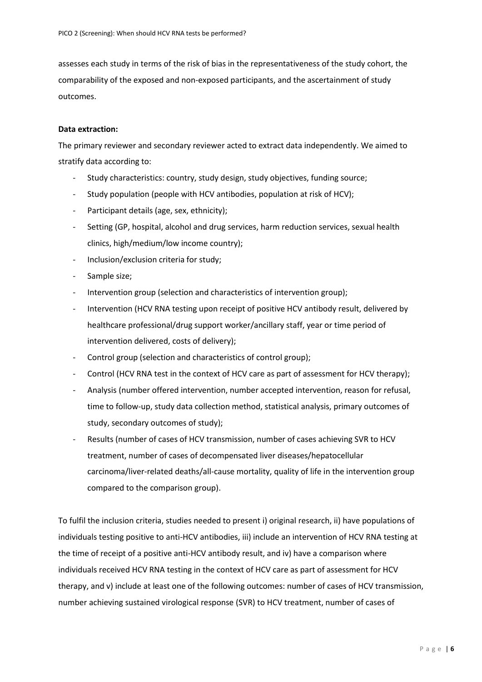assesses each study in terms of the risk of bias in the representativeness of the study cohort, the comparability of the exposed and non-exposed participants, and the ascertainment of study outcomes.

#### **Data extraction:**

The primary reviewer and secondary reviewer acted to extract data independently. We aimed to stratify data according to:

- Study characteristics: country, study design, study objectives, funding source;
- Study population (people with HCV antibodies, population at risk of HCV);
- Participant details (age, sex, ethnicity);
- Setting (GP, hospital, alcohol and drug services, harm reduction services, sexual health clinics, high/medium/low income country);
- Inclusion/exclusion criteria for study;
- Sample size;
- Intervention group (selection and characteristics of intervention group);
- Intervention (HCV RNA testing upon receipt of positive HCV antibody result, delivered by healthcare professional/drug support worker/ancillary staff, year or time period of intervention delivered, costs of delivery);
- Control group (selection and characteristics of control group);
- Control (HCV RNA test in the context of HCV care as part of assessment for HCV therapy);
- Analysis (number offered intervention, number accepted intervention, reason for refusal, time to follow-up, study data collection method, statistical analysis, primary outcomes of study, secondary outcomes of study);
- Results (number of cases of HCV transmission, number of cases achieving SVR to HCV treatment, number of cases of decompensated liver diseases/hepatocellular carcinoma/liver-related deaths/all-cause mortality, quality of life in the intervention group compared to the comparison group).

To fulfil the inclusion criteria, studies needed to present i) original research, ii) have populations of individuals testing positive to anti-HCV antibodies, iii) include an intervention of HCV RNA testing at the time of receipt of a positive anti-HCV antibody result, and iv) have a comparison where individuals received HCV RNA testing in the context of HCV care as part of assessment for HCV therapy, and v) include at least one of the following outcomes: number of cases of HCV transmission, number achieving sustained virological response (SVR) to HCV treatment, number of cases of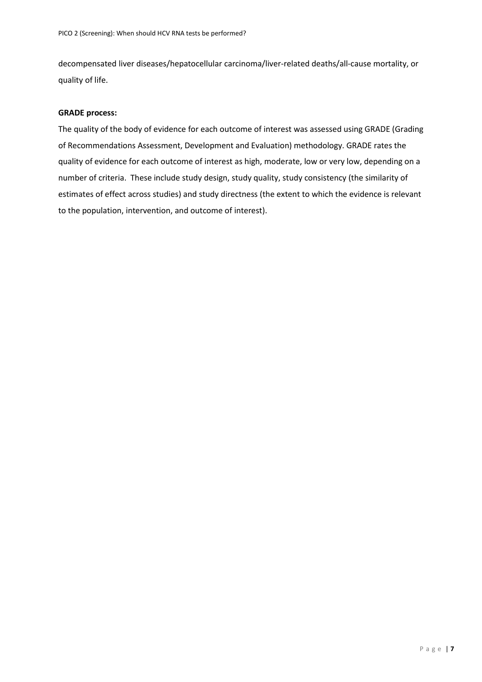decompensated liver diseases/hepatocellular carcinoma/liver-related deaths/all-cause mortality, or quality of life.

### **GRADE process:**

The quality of the body of evidence for each outcome of interest was assessed using GRADE (Grading of Recommendations Assessment, Development and Evaluation) methodology. GRADE rates the quality of evidence for each outcome of interest as high, moderate, low or very low, depending on a number of criteria. These include study design, study quality, study consistency (the similarity of estimates of effect across studies) and study directness (the extent to which the evidence is relevant to the population, intervention, and outcome of interest).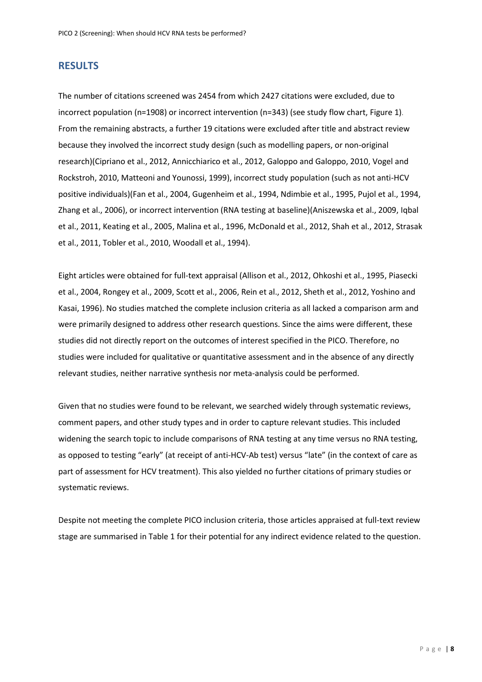### <span id="page-7-0"></span>**RESULTS**

The number of citations screened was 2454 from which 2427 citations were excluded, due to incorrect population (n=1908) or incorrect intervention (n=343) (see study flow chart, Figure 1). From the remaining abstracts, a further 19 citations were excluded after title and abstract review because they involved the incorrect study design (such as modelling papers, or non-original research)[\(Cipriano et al., 2012,](#page-13-2) [Annicchiarico et al., 2012,](#page-13-3) [Galoppo and Galoppo, 2010,](#page-13-4) [Vogel and](#page-14-6)  [Rockstroh, 2010,](#page-14-6) [Matteoni and Younossi, 1999\)](#page-13-5), incorrect study population (such as not anti-HCV positive individuals)[\(Fan et al., 2004,](#page-13-6) [Gugenheim et al., 1994,](#page-13-7) [Ndimbie et al., 1995,](#page-13-8) [Pujol et al., 1994,](#page-13-9) [Zhang et al., 2006\)](#page-14-7), or incorrect intervention (RNA testing at baseline)[\(Aniszewska et al., 2009,](#page-13-10) [Iqbal](#page-13-11)  [et al., 2011,](#page-13-11) [Keating et al., 2005,](#page-13-12) [Malina et al., 1996,](#page-13-13) [McDonald et al., 2012,](#page-13-14) [Shah et al., 2012,](#page-14-8) [Strasak](#page-14-9)  [et al., 2011,](#page-14-9) [Tobler et al., 2010,](#page-14-10) [Woodall et al., 1994\)](#page-14-1).

Eight articles were obtained for full-text appraisal [\(Allison et al., 2012,](#page-13-15) [Ohkoshi et al., 1995,](#page-13-16) [Piasecki](#page-13-1)  [et al., 2004,](#page-13-1) [Rongey et al., 2009,](#page-14-3) [Scott et al., 2006,](#page-14-4) [Rein et al., 2012,](#page-14-11) [Sheth et al., 2012,](#page-14-12) [Yoshino and](#page-14-13)  [Kasai, 1996\)](#page-14-13). No studies matched the complete inclusion criteria as all lacked a comparison arm and were primarily designed to address other research questions. Since the aims were different, these studies did not directly report on the outcomes of interest specified in the PICO. Therefore, no studies were included for qualitative or quantitative assessment and in the absence of any directly relevant studies, neither narrative synthesis nor meta-analysis could be performed.

Given that no studies were found to be relevant, we searched widely through systematic reviews, comment papers, and other study types and in order to capture relevant studies. This included widening the search topic to include comparisons of RNA testing at any time versus no RNA testing, as opposed to testing "early" (at receipt of anti-HCV-Ab test) versus "late" (in the context of care as part of assessment for HCV treatment). This also yielded no further citations of primary studies or systematic reviews.

Despite not meeting the complete PICO inclusion criteria, those articles appraised at full-text review stage are summarised in Table 1 for their potential for any indirect evidence related to the question.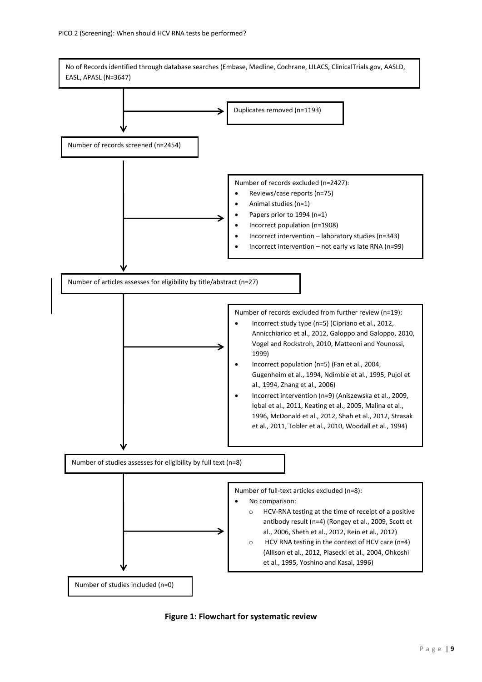

<span id="page-8-0"></span>**Figure 1: Flowchart for systematic review**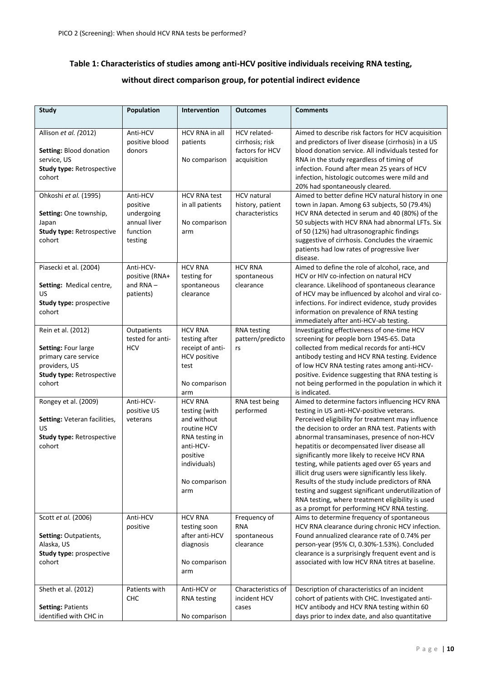### <span id="page-9-0"></span>**Table 1: Characteristics of studies among anti-HCV positive individuals receiving RNA testing,**

### **without direct comparison group, for potential indirect evidence**

| <b>Study</b>                                                                                                                     | Population                                                                | <b>Intervention</b>                                                                                                                              | <b>Outcomes</b>                                                   | <b>Comments</b>                                                                                                                                                                                                                                                                                                                                                                                                                                                                                                                                                                                                                                                         |
|----------------------------------------------------------------------------------------------------------------------------------|---------------------------------------------------------------------------|--------------------------------------------------------------------------------------------------------------------------------------------------|-------------------------------------------------------------------|-------------------------------------------------------------------------------------------------------------------------------------------------------------------------------------------------------------------------------------------------------------------------------------------------------------------------------------------------------------------------------------------------------------------------------------------------------------------------------------------------------------------------------------------------------------------------------------------------------------------------------------------------------------------------|
|                                                                                                                                  |                                                                           |                                                                                                                                                  |                                                                   |                                                                                                                                                                                                                                                                                                                                                                                                                                                                                                                                                                                                                                                                         |
| Allison et al. (2012)<br>Setting: Blood donation<br>service, US<br><b>Study type: Retrospective</b><br>cohort                    | Anti-HCV<br>positive blood<br>donors                                      | HCV RNA in all<br>patients<br>No comparison                                                                                                      | HCV related-<br>cirrhosis; risk<br>factors for HCV<br>acquisition | Aimed to describe risk factors for HCV acquisition<br>and predictors of liver disease (cirrhosis) in a US<br>blood donation service. All individuals tested for<br>RNA in the study regardless of timing of<br>infection. Found after mean 25 years of HCV<br>infection, histologic outcomes were mild and<br>20% had spontaneously cleared.                                                                                                                                                                                                                                                                                                                            |
| Ohkoshi et al. (1995)<br>Setting: One township,<br>Japan<br><b>Study type: Retrospective</b><br>cohort                           | Anti-HCV<br>positive<br>undergoing<br>annual liver<br>function<br>testing | <b>HCV RNA test</b><br>in all patients<br>No comparison<br>arm                                                                                   | <b>HCV</b> natural<br>history, patient<br>characteristics         | Aimed to better define HCV natural history in one<br>town in Japan. Among 63 subjects, 50 (79.4%)<br>HCV RNA detected in serum and 40 (80%) of the<br>50 subjects with HCV RNA had abnormal LFTs. Six<br>of 50 (12%) had ultrasonographic findings<br>suggestive of cirrhosis. Concludes the viraemic<br>patients had low rates of progressive liver<br>disease.                                                                                                                                                                                                                                                                                                        |
| Piasecki et al. (2004)<br>Setting: Medical centre,<br>US<br>Study type: prospective<br>cohort                                    | Anti-HCV-<br>positive (RNA+<br>and $RNA-$<br>patients)                    | <b>HCV RNA</b><br>testing for<br>spontaneous<br>clearance                                                                                        | <b>HCV RNA</b><br>spontaneous<br>clearance                        | Aimed to define the role of alcohol, race, and<br>HCV or HIV co-infection on natural HCV<br>clearance. Likelihood of spontaneous clearance<br>of HCV may be influenced by alcohol and viral co-<br>infections. For indirect evidence, study provides<br>information on prevalence of RNA testing<br>immediately after anti-HCV-ab testing.                                                                                                                                                                                                                                                                                                                              |
| Rein et al. (2012)<br>Setting: Four large<br>primary care service<br>providers, US<br><b>Study type: Retrospective</b><br>cohort | Outpatients<br>tested for anti-<br><b>HCV</b>                             | <b>HCV RNA</b><br>testing after<br>receipt of anti-<br><b>HCV</b> positive<br>test<br>No comparison<br>arm                                       | <b>RNA</b> testing<br>pattern/predicto<br>rs                      | Investigating effectiveness of one-time HCV<br>screening for people born 1945-65. Data<br>collected from medical records for anti-HCV<br>antibody testing and HCV RNA testing. Evidence<br>of low HCV RNA testing rates among anti-HCV-<br>positive. Evidence suggesting that RNA testing is<br>not being performed in the population in which it<br>is indicated.                                                                                                                                                                                                                                                                                                      |
| Rongey et al. (2009)<br>Setting: Veteran facilities,<br>US<br><b>Study type: Retrospective</b><br>cohort                         | Anti-HCV-<br>positive US<br>veterans                                      | <b>HCV RNA</b><br>testing (with<br>and without<br>routine HCV<br>RNA testing in<br>anti-HCV-<br>positive<br>individuals)<br>No comparison<br>arm | RNA test being<br>performed                                       | Aimed to determine factors influencing HCV RNA<br>testing in US anti-HCV-positive veterans.<br>Perceived eligibility for treatment may influence<br>the decision to order an RNA test. Patients with<br>abnormal transaminases, presence of non-HCV<br>hepatitis or decompensated liver disease all<br>significantly more likely to receive HCV RNA<br>testing, while patients aged over 65 years and<br>illicit drug users were significantly less likely.<br>Results of the study include predictors of RNA<br>testing and suggest significant underutilization of<br>RNA testing, where treatment eligibility is used<br>as a prompt for performing HCV RNA testing. |
| Scott et al. (2006)<br>Setting: Outpatients,<br>Alaska, US<br>Study type: prospective<br>cohort                                  | Anti-HCV<br>positive                                                      | <b>HCV RNA</b><br>testing soon<br>after anti-HCV<br>diagnosis<br>No comparison<br>arm                                                            | Frequency of<br><b>RNA</b><br>spontaneous<br>clearance            | Aims to determine frequency of spontaneous<br>HCV RNA clearance during chronic HCV infection.<br>Found annualized clearance rate of 0.74% per<br>person-year (95% CI, 0.30%-1.53%). Concluded<br>clearance is a surprisingly frequent event and is<br>associated with low HCV RNA titres at baseline.                                                                                                                                                                                                                                                                                                                                                                   |
| Sheth et al. (2012)<br><b>Setting: Patients</b><br>identified with CHC in                                                        | Patients with<br>CHC                                                      | Anti-HCV or<br><b>RNA</b> testing<br>No comparison                                                                                               | Characteristics of<br>incident HCV<br>cases                       | Description of characteristics of an incident<br>cohort of patients with CHC. Investigated anti-<br>HCV antibody and HCV RNA testing within 60<br>days prior to index date, and also quantitative                                                                                                                                                                                                                                                                                                                                                                                                                                                                       |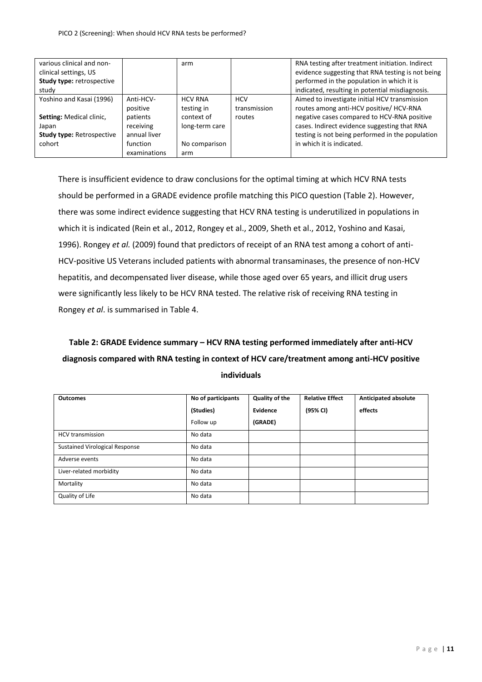| various clinical and non-<br>clinical settings, US |              | arm            |              | RNA testing after treatment initiation. Indirect<br>evidence suggesting that RNA testing is not being |
|----------------------------------------------------|--------------|----------------|--------------|-------------------------------------------------------------------------------------------------------|
| <b>Study type: retrospective</b>                   |              |                |              | performed in the population in which it is                                                            |
| study                                              |              |                |              | indicated, resulting in potential misdiagnosis.                                                       |
| Yoshino and Kasai (1996)                           | Anti-HCV-    | <b>HCV RNA</b> | <b>HCV</b>   | Aimed to investigate initial HCV transmission                                                         |
|                                                    | positive     | testing in     | transmission | routes among anti-HCV positive/ HCV-RNA                                                               |
| <b>Setting: Medical clinic,</b>                    | patients     | context of     | routes       | negative cases compared to HCV-RNA positive                                                           |
| Japan                                              | receiving    | long-term care |              | cases. Indirect evidence suggesting that RNA                                                          |
| <b>Study type: Retrospective</b>                   | annual liver |                |              | testing is not being performed in the population                                                      |
| cohort                                             | function     | No comparison  |              | in which it is indicated.                                                                             |
|                                                    | examinations | arm            |              |                                                                                                       |

There is insufficient evidence to draw conclusions for the optimal timing at which HCV RNA tests should be performed in a GRADE evidence profile matching this PICO question (Table 2). However, there was some indirect evidence suggesting that HCV RNA testing is underutilized in populations in which it is indicated [\(Rein et al., 2012,](#page-14-11) [Rongey et al., 2009,](#page-14-3) [Sheth et al., 2012,](#page-14-12) [Yoshino and Kasai,](#page-14-13)  [1996\)](#page-14-13). Rongey *et al.* (2009) found that predictors of receipt of an RNA test among a cohort of anti-HCV-positive US Veterans included patients with abnormal transaminases, the presence of non-HCV hepatitis, and decompensated liver disease, while those aged over 65 years, and illicit drug users were significantly less likely to be HCV RNA tested. The relative risk of receiving RNA testing in Rongey *et al*. is summarised in Table 4.

# <span id="page-10-0"></span>**Table 2: GRADE Evidence summary – HCV RNA testing performed immediately after anti-HCV diagnosis compared with RNA testing in context of HCV care/treatment among anti-HCV positive individuals**

| <b>Outcomes</b>                       | No of participants | <b>Quality of the</b> | <b>Relative Effect</b> | Anticipated absolute |
|---------------------------------------|--------------------|-----------------------|------------------------|----------------------|
|                                       | (Studies)          | Evidence              | (95% CI)               | effects              |
|                                       | Follow up          | (GRADE)               |                        |                      |
| <b>HCV</b> transmission               | No data            |                       |                        |                      |
| <b>Sustained Virological Response</b> | No data            |                       |                        |                      |
| Adverse events                        | No data            |                       |                        |                      |
| Liver-related morbidity               | No data            |                       |                        |                      |
| Mortality                             | No data            |                       |                        |                      |
| Quality of Life                       | No data            |                       |                        |                      |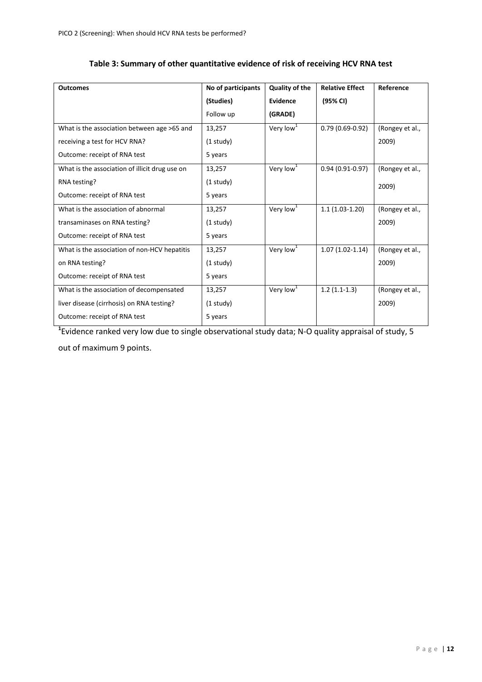<span id="page-11-0"></span>

| <b>Outcomes</b>                                | No of participants | <b>Quality of the</b> | <b>Relative Effect</b> | Reference       |
|------------------------------------------------|--------------------|-----------------------|------------------------|-----------------|
|                                                | (Studies)          | Evidence              | (95% CI)               |                 |
|                                                | Follow up          | (GRADE)               |                        |                 |
| What is the association between age >65 and    | 13,257             | Very low $1$          | $0.79(0.69-0.92)$      | (Rongey et al., |
| receiving a test for HCV RNA?                  | $(1$ study)        |                       |                        | 2009)           |
| Outcome: receipt of RNA test                   | 5 years            |                       |                        |                 |
| What is the association of illicit drug use on | 13,257             | Very low <sup>1</sup> | $0.94(0.91 - 0.97)$    | (Rongey et al., |
| RNA testing?                                   | $(1$ study)        |                       |                        | 2009)           |
| Outcome: receipt of RNA test                   | 5 years            |                       |                        |                 |
| What is the association of abnormal            | 13,257             | Very low <sup>1</sup> | $1.1(1.03-1.20)$       | (Rongey et al., |
| transaminases on RNA testing?                  | $(1$ study)        |                       |                        | 2009)           |
| Outcome: receipt of RNA test                   | 5 years            |                       |                        |                 |
| What is the association of non-HCV hepatitis   | 13,257             | Very low <sup>1</sup> | $1.07(1.02-1.14)$      | (Rongey et al., |
| on RNA testing?                                | $(1$ study)        |                       |                        | 2009)           |
| Outcome: receipt of RNA test                   | 5 years            |                       |                        |                 |
| What is the association of decompensated       | 13,257             | Very low <sup>1</sup> | $1.2(1.1-1.3)$         | (Rongey et al., |
| liver disease (cirrhosis) on RNA testing?      | $(1$ study)        |                       |                        | 2009)           |
| Outcome: receipt of RNA test                   | 5 years            |                       |                        |                 |

### **Table 3: Summary of other quantitative evidence of risk of receiving HCV RNA test**

**1** Evidence ranked very low due to single observational study data; N-O quality appraisal of study, 5 out of maximum 9 points.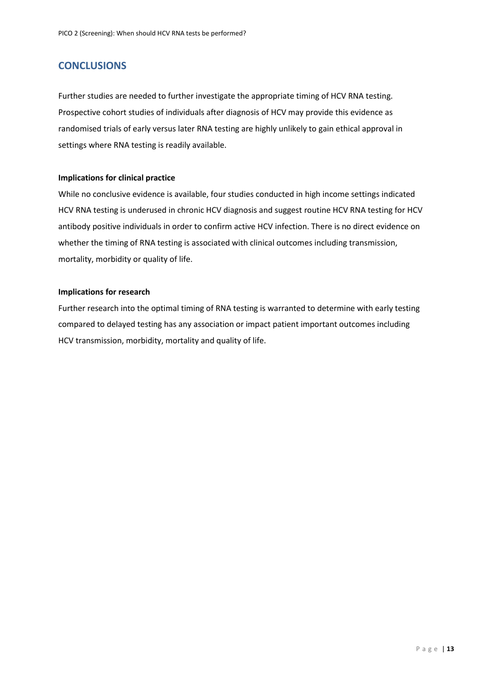### <span id="page-12-0"></span>**CONCLUSIONS**

Further studies are needed to further investigate the appropriate timing of HCV RNA testing. Prospective cohort studies of individuals after diagnosis of HCV may provide this evidence as randomised trials of early versus later RNA testing are highly unlikely to gain ethical approval in settings where RNA testing is readily available.

### **Implications for clinical practice**

While no conclusive evidence is available, four studies conducted in high income settings indicated HCV RNA testing is underused in chronic HCV diagnosis and suggest routine HCV RNA testing for HCV antibody positive individuals in order to confirm active HCV infection. There is no direct evidence on whether the timing of RNA testing is associated with clinical outcomes including transmission, mortality, morbidity or quality of life.

#### **Implications for research**

Further research into the optimal timing of RNA testing is warranted to determine with early testing compared to delayed testing has any association or impact patient important outcomes including HCV transmission, morbidity, mortality and quality of life.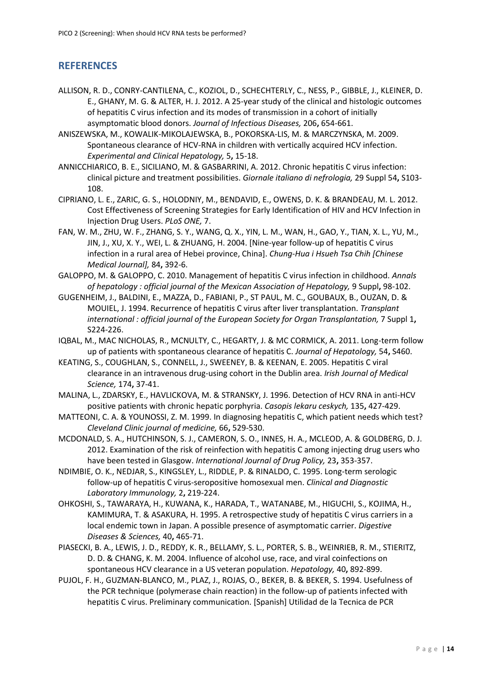## <span id="page-13-0"></span>**REFERENCES**

- <span id="page-13-15"></span>ALLISON, R. D., CONRY-CANTILENA, C., KOZIOL, D., SCHECHTERLY, C., NESS, P., GIBBLE, J., KLEINER, D. E., GHANY, M. G. & ALTER, H. J. 2012. A 25-year study of the clinical and histologic outcomes of hepatitis C virus infection and its modes of transmission in a cohort of initially asymptomatic blood donors. *Journal of Infectious Diseases,* 206**,** 654-661.
- <span id="page-13-10"></span>ANISZEWSKA, M., KOWALIK-MIKOLAJEWSKA, B., POKORSKA-LIS, M. & MARCZYNSKA, M. 2009. Spontaneous clearance of HCV-RNA in children with vertically acquired HCV infection. *Experimental and Clinical Hepatology,* 5**,** 15-18.
- <span id="page-13-3"></span>ANNICCHIARICO, B. E., SICILIANO, M. & GASBARRINI, A. 2012. Chronic hepatitis C virus infection: clinical picture and treatment possibilities. *Giornale italiano di nefrologia,* 29 Suppl 54**,** S103- 108.
- <span id="page-13-2"></span>CIPRIANO, L. E., ZARIC, G. S., HOLODNIY, M., BENDAVID, E., OWENS, D. K. & BRANDEAU, M. L. 2012. Cost Effectiveness of Screening Strategies for Early Identification of HIV and HCV Infection in Injection Drug Users. *PLoS ONE,* 7.
- <span id="page-13-6"></span>FAN, W. M., ZHU, W. F., ZHANG, S. Y., WANG, Q. X., YIN, L. M., WAN, H., GAO, Y., TIAN, X. L., YU, M., JIN, J., XU, X. Y., WEI, L. & ZHUANG, H. 2004. [Nine-year follow-up of hepatitis C virus infection in a rural area of Hebei province, China]. *Chung-Hua i Hsueh Tsa Chih [Chinese Medical Journal],* 84**,** 392-6.
- <span id="page-13-4"></span>GALOPPO, M. & GALOPPO, C. 2010. Management of hepatitis C virus infection in childhood. *Annals of hepatology : official journal of the Mexican Association of Hepatology,* 9 Suppl**,** 98-102.
- <span id="page-13-7"></span>GUGENHEIM, J., BALDINI, E., MAZZA, D., FABIANI, P., ST PAUL, M. C., GOUBAUX, B., OUZAN, D. & MOUIEL, J. 1994. Recurrence of hepatitis C virus after liver transplantation. *Transplant international : official journal of the European Society for Organ Transplantation,* 7 Suppl 1**,** S224-226.
- <span id="page-13-11"></span>IQBAL, M., MAC NICHOLAS, R., MCNULTY, C., HEGARTY, J. & MC CORMICK, A. 2011. Long-term follow up of patients with spontaneous clearance of hepatitis C. *Journal of Hepatology,* 54**,** S460.
- <span id="page-13-12"></span>KEATING, S., COUGHLAN, S., CONNELL, J., SWEENEY, B. & KEENAN, E. 2005. Hepatitis C viral clearance in an intravenous drug-using cohort in the Dublin area. *Irish Journal of Medical Science,* 174**,** 37-41.
- <span id="page-13-13"></span>MALINA, L., ZDARSKY, E., HAVLICKOVA, M. & STRANSKY, J. 1996. Detection of HCV RNA in anti-HCV positive patients with chronic hepatic porphyria. *Casopis lekaru ceskych,* 135**,** 427-429.
- <span id="page-13-5"></span>MATTEONI, C. A. & YOUNOSSI, Z. M. 1999. In diagnosing hepatitis C, which patient needs which test? *Cleveland Clinic journal of medicine,* 66**,** 529-530.
- <span id="page-13-14"></span>MCDONALD, S. A., HUTCHINSON, S. J., CAMERON, S. O., INNES, H. A., MCLEOD, A. & GOLDBERG, D. J. 2012. Examination of the risk of reinfection with hepatitis C among injecting drug users who have been tested in Glasgow. *International Journal of Drug Policy,* 23**,** 353-357.
- <span id="page-13-8"></span>NDIMBIE, O. K., NEDJAR, S., KINGSLEY, L., RIDDLE, P. & RINALDO, C. 1995. Long-term serologic follow-up of hepatitis C virus-seropositive homosexual men. *Clinical and Diagnostic Laboratory Immunology,* 2**,** 219-224.
- <span id="page-13-16"></span>OHKOSHI, S., TAWARAYA, H., KUWANA, K., HARADA, T., WATANABE, M., HIGUCHI, S., KOJIMA, H., KAMIMURA, T. & ASAKURA, H. 1995. A retrospective study of hepatitis C virus carriers in a local endemic town in Japan. A possible presence of asymptomatic carrier. *Digestive Diseases & Sciences,* 40**,** 465-71.
- <span id="page-13-1"></span>PIASECKI, B. A., LEWIS, J. D., REDDY, K. R., BELLAMY, S. L., PORTER, S. B., WEINRIEB, R. M., STIERITZ, D. D. & CHANG, K. M. 2004. Influence of alcohol use, race, and viral coinfections on spontaneous HCV clearance in a US veteran population. *Hepatology,* 40**,** 892-899.
- <span id="page-13-9"></span>PUJOL, F. H., GUZMAN-BLANCO, M., PLAZ, J., ROJAS, O., BEKER, B. & BEKER, S. 1994. Usefulness of the PCR technique (polymerase chain reaction) in the follow-up of patients infected with hepatitis C virus. Preliminary communication. [Spanish] Utilidad de la Tecnica de PCR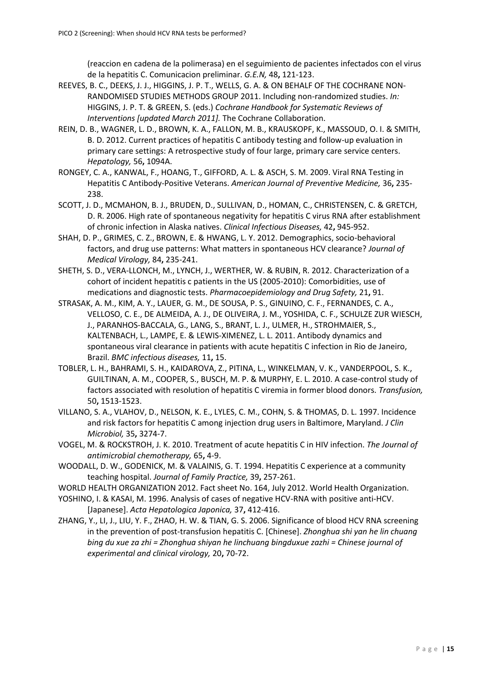(reaccion en cadena de la polimerasa) en el seguimiento de pacientes infectados con el virus de la hepatitis C. Comunicacion preliminar. *G.E.N,* 48**,** 121-123.

- <span id="page-14-5"></span>REEVES, B. C., DEEKS, J. J., HIGGINS, J. P. T., WELLS, G. A. & ON BEHALF OF THE COCHRANE NON-RANDOMISED STUDIES METHODS GROUP 2011. Including non-randomized studies. *In:* HIGGINS, J. P. T. & GREEN, S. (eds.) *Cochrane Handbook for Systematic Reviews of Interventions [updated March 2011].* The Cochrane Collaboration.
- <span id="page-14-11"></span>REIN, D. B., WAGNER, L. D., BROWN, K. A., FALLON, M. B., KRAUSKOPF, K., MASSOUD, O. I. & SMITH, B. D. 2012. Current practices of hepatitis C antibody testing and follow-up evaluation in primary care settings: A retrospective study of four large, primary care service centers. *Hepatology,* 56**,** 1094A.
- <span id="page-14-3"></span>RONGEY, C. A., KANWAL, F., HOANG, T., GIFFORD, A. L. & ASCH, S. M. 2009. Viral RNA Testing in Hepatitis C Antibody-Positive Veterans. *American Journal of Preventive Medicine,* 36**,** 235- 238.
- <span id="page-14-4"></span>SCOTT, J. D., MCMAHON, B. J., BRUDEN, D., SULLIVAN, D., HOMAN, C., CHRISTENSEN, C. & GRETCH, D. R. 2006. High rate of spontaneous negativity for hepatitis C virus RNA after establishment of chronic infection in Alaska natives. *Clinical Infectious Diseases,* 42**,** 945-952.
- <span id="page-14-8"></span>SHAH, D. P., GRIMES, C. Z., BROWN, E. & HWANG, L. Y. 2012. Demographics, socio-behavioral factors, and drug use patterns: What matters in spontaneous HCV clearance? *Journal of Medical Virology,* 84**,** 235-241.
- <span id="page-14-12"></span>SHETH, S. D., VERA-LLONCH, M., LYNCH, J., WERTHER, W. & RUBIN, R. 2012. Characterization of a cohort of incident hepatitis c patients in the US (2005-2010): Comorbidities, use of medications and diagnostic tests. *Pharmacoepidemiology and Drug Safety,* 21**,** 91.
- <span id="page-14-9"></span>STRASAK, A. M., KIM, A. Y., LAUER, G. M., DE SOUSA, P. S., GINUINO, C. F., FERNANDES, C. A., VELLOSO, C. E., DE ALMEIDA, A. J., DE OLIVEIRA, J. M., YOSHIDA, C. F., SCHULZE ZUR WIESCH, J., PARANHOS-BACCALA, G., LANG, S., BRANT, L. J., ULMER, H., STROHMAIER, S., KALTENBACH, L., LAMPE, E. & LEWIS-XIMENEZ, L. L. 2011. Antibody dynamics and spontaneous viral clearance in patients with acute hepatitis C infection in Rio de Janeiro, Brazil. *BMC infectious diseases,* 11**,** 15.
- <span id="page-14-10"></span>TOBLER, L. H., BAHRAMI, S. H., KAIDAROVA, Z., PITINA, L., WINKELMAN, V. K., VANDERPOOL, S. K., GUILTINAN, A. M., COOPER, S., BUSCH, M. P. & MURPHY, E. L. 2010. A case-control study of factors associated with resolution of hepatitis C viremia in former blood donors. *Transfusion,* 50**,** 1513-1523.
- <span id="page-14-2"></span>VILLANO, S. A., VLAHOV, D., NELSON, K. E., LYLES, C. M., COHN, S. & THOMAS, D. L. 1997. Incidence and risk factors for hepatitis C among injection drug users in Baltimore, Maryland. *J Clin Microbiol,* 35**,** 3274-7.
- <span id="page-14-6"></span>VOGEL, M. & ROCKSTROH, J. K. 2010. Treatment of acute hepatitis C in HIV infection. *The Journal of antimicrobial chemotherapy,* 65**,** 4-9.
- <span id="page-14-1"></span>WOODALL, D. W., GODENICK, M. & VALAINIS, G. T. 1994. Hepatitis C experience at a community teaching hospital. *Journal of Family Practice,* 39**,** 257-261.
- <span id="page-14-0"></span>WORLD HEALTH ORGANIZATION 2012. Fact sheet No. 164, July 2012. World Health Organization.
- <span id="page-14-13"></span>YOSHINO, I. & KASAI, M. 1996. Analysis of cases of negative HCV-RNA with positive anti-HCV. [Japanese]. *Acta Hepatologica Japonica,* 37**,** 412-416.
- <span id="page-14-7"></span>ZHANG, Y., LI, J., LIU, Y. F., ZHAO, H. W. & TIAN, G. S. 2006. Significance of blood HCV RNA screening in the prevention of post-transfusion hepatitis C. [Chinese]. *Zhonghua shi yan he lin chuang bing du xue za zhi = Zhonghua shiyan he linchuang bingduxue zazhi = Chinese journal of experimental and clinical virology,* 20**,** 70-72.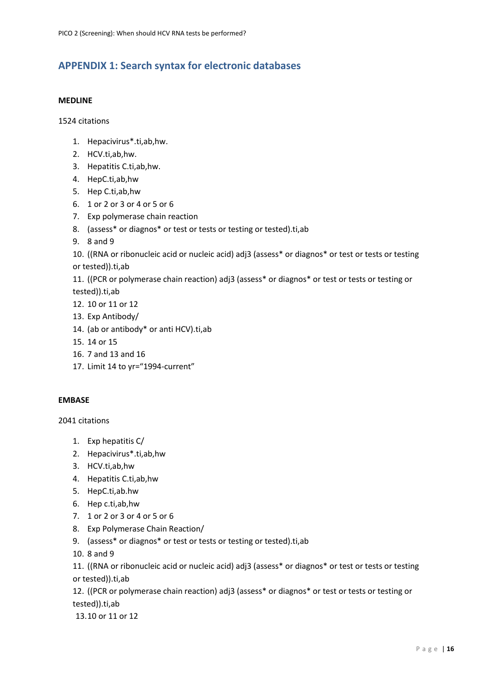# <span id="page-15-0"></span>**APPENDIX 1: Search syntax for electronic databases**

### **MEDLINE**

1524 citations

- 1. Hepacivirus\*.ti,ab,hw.
- 2. HCV.ti,ab,hw.
- 3. Hepatitis C.ti,ab,hw.
- 4. HepC.ti,ab,hw
- 5. Hep C.ti,ab,hw
- 6. 1 or 2 or 3 or 4 or 5 or 6
- 7. Exp polymerase chain reaction
- 8. (assess\* or diagnos\* or test or tests or testing or tested).ti,ab
- 9. 8 and 9

10. ((RNA or ribonucleic acid or nucleic acid) adj3 (assess\* or diagnos\* or test or tests or testing or tested)).ti,ab

11. ((PCR or polymerase chain reaction) adj3 (assess\* or diagnos\* or test or tests or testing or tested)).ti,ab

- 12. 10 or 11 or 12
- 13. Exp Antibody/
- 14. (ab or antibody\* or anti HCV).ti,ab
- 15. 14 or 15
- 16. 7 and 13 and 16
- 17. Limit 14 to yr="1994-current"

### **EMBASE**

2041 citations

- 1. Exp hepatitis C/
- 2. Hepacivirus\*.ti,ab,hw
- 3. HCV.ti,ab,hw
- 4. Hepatitis C.ti,ab,hw
- 5. HepC.ti,ab.hw
- 6. Hep c.ti,ab,hw
- 7. 1 or 2 or 3 or 4 or 5 or 6
- 8. Exp Polymerase Chain Reaction/
- 9. (assess\* or diagnos\* or test or tests or testing or tested).ti,ab
- 10. 8 and 9

11. ((RNA or ribonucleic acid or nucleic acid) adj3 (assess\* or diagnos\* or test or tests or testing or tested)).ti,ab

12. ((PCR or polymerase chain reaction) adj3 (assess\* or diagnos\* or test or tests or testing or tested)).ti,ab

13.10 or 11 or 12